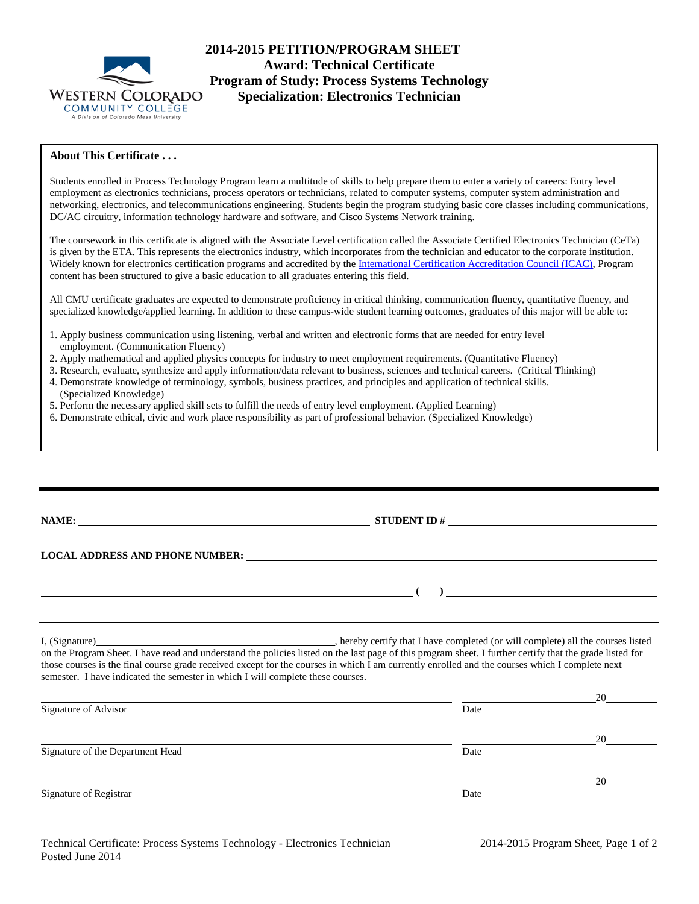

## **2014-2015 PETITION/PROGRAM SHEET Award: Technical Certificate Program of Study: Process Systems Technology Specialization: Electronics Technician**

## **About This Certificate . . .**

Students enrolled in Process Technology Program learn a multitude of skills to help prepare them to enter a variety of careers: Entry level employment as electronics technicians, process operators or technicians, related to computer systems, computer system administration and networking, electronics, and telecommunications engineering. Students begin the program studying basic core classes including communications, DC/AC circuitry, information technology hardware and software, and Cisco Systems Network training.

The coursework in this certificate is aligned with **t**he Associate Level certification called the Associate Certified Electronics Technician (CeTa) is given by the ETA. This represents the electronics industry, which incorporates from the technician and educator to the corporate institution. Widely known for electronics certification programs and accredited by the [International Certification Accreditation Council \(ICAC\),](http://www.icacnet.org/) Program content has been structured to give a basic education to all graduates entering this field.

All CMU certificate graduates are expected to demonstrate proficiency in critical thinking, communication fluency, quantitative fluency, and specialized knowledge/applied learning. In addition to these campus-wide student learning outcomes, graduates of this major will be able to:

- 1. Apply business communication using listening, verbal and written and electronic forms that are needed for entry level employment. (Communication Fluency)
- 2. Apply mathematical and applied physics concepts for industry to meet employment requirements. (Quantitative Fluency)
- 3. Research, evaluate, synthesize and apply information/data relevant to business, sciences and technical careers. (Critical Thinking)
- 4. Demonstrate knowledge of terminology, symbols, business practices, and principles and application of technical skills. (Specialized Knowledge)
- 5. Perform the necessary applied skill sets to fulfill the needs of entry level employment. (Applied Learning)
- 6. Demonstrate ethical, civic and work place responsibility as part of professional behavior. (Specialized Knowledge)

|                                                                                 | STUDENT ID $\#$                                                                                                                                                                                                                                                                                            |  |
|---------------------------------------------------------------------------------|------------------------------------------------------------------------------------------------------------------------------------------------------------------------------------------------------------------------------------------------------------------------------------------------------------|--|
|                                                                                 | LOCAL ADDRESS AND PHONE NUMBER: Under the contract of the contract of the contract of the contract of the contract of the contract of the contract of the contract of the contract of the contract of the contract of the cont                                                                             |  |
|                                                                                 | $\overline{\phantom{a}}$                                                                                                                                                                                                                                                                                   |  |
| semester. I have indicated the semester in which I will complete these courses. | on the Program Sheet. I have read and understand the policies listed on the last page of this program sheet. I further certify that the grade listed for<br>those courses is the final course grade received except for the courses in which I am currently enrolled and the courses which I complete next |  |
|                                                                                 | 20                                                                                                                                                                                                                                                                                                         |  |

| Signature of Advisor             | Date |    |
|----------------------------------|------|----|
|                                  |      | 20 |
| Signature of the Department Head | Date |    |
|                                  |      | 20 |
| Signature of Registrar           | Date |    |